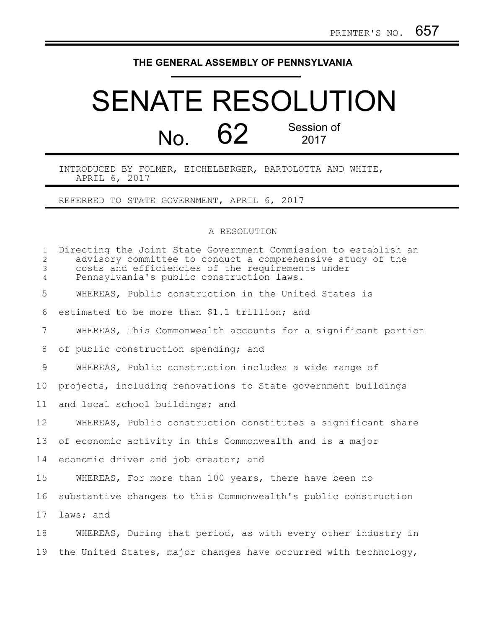## **THE GENERAL ASSEMBLY OF PENNSYLVANIA**

## SENATE RESOLUTION No. 62 Session of 2017

INTRODUCED BY FOLMER, EICHELBERGER, BARTOLOTTA AND WHITE, APRIL 6, 2017

REFERRED TO STATE GOVERNMENT, APRIL 6, 2017

## A RESOLUTION

| $\mathbf{1}$<br>$\overline{2}$<br>3<br>$\overline{4}$ | Directing the Joint State Government Commission to establish an<br>advisory committee to conduct a comprehensive study of the<br>costs and efficiencies of the requirements under<br>Pennsylvania's public construction laws. |
|-------------------------------------------------------|-------------------------------------------------------------------------------------------------------------------------------------------------------------------------------------------------------------------------------|
| 5                                                     | WHEREAS, Public construction in the United States is                                                                                                                                                                          |
| 6                                                     | estimated to be more than \$1.1 trillion; and                                                                                                                                                                                 |
| 7                                                     | WHEREAS, This Commonwealth accounts for a significant portion                                                                                                                                                                 |
| 8                                                     | of public construction spending; and                                                                                                                                                                                          |
| 9                                                     | WHEREAS, Public construction includes a wide range of                                                                                                                                                                         |
| 10                                                    | projects, including renovations to State government buildings                                                                                                                                                                 |
| 11                                                    | and local school buildings; and                                                                                                                                                                                               |
| 12                                                    | WHEREAS, Public construction constitutes a significant share                                                                                                                                                                  |
| 13                                                    | of economic activity in this Commonwealth and is a major                                                                                                                                                                      |
| 14                                                    | economic driver and job creator; and                                                                                                                                                                                          |
| 15                                                    | WHEREAS, For more than 100 years, there have been no                                                                                                                                                                          |
| 16                                                    | substantive changes to this Commonwealth's public construction                                                                                                                                                                |
| 17                                                    | laws; and                                                                                                                                                                                                                     |
| 18                                                    | WHEREAS, During that period, as with every other industry in                                                                                                                                                                  |
| 19                                                    | the United States, major changes have occurred with technology,                                                                                                                                                               |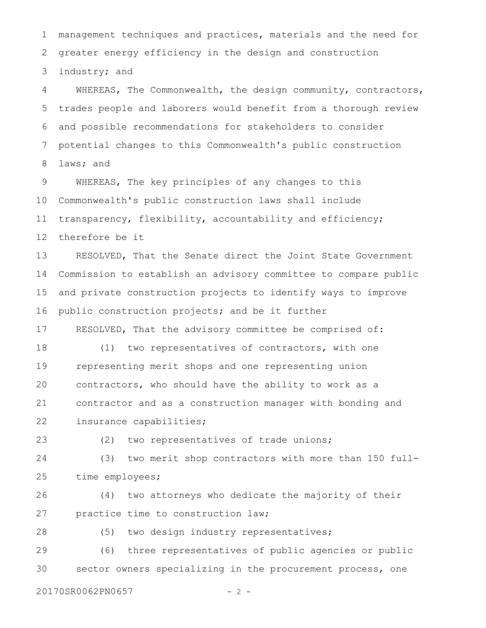management techniques and practices, materials and the need for greater energy efficiency in the design and construction industry; and 1 2 3

WHEREAS, The Commonwealth, the design community, contractors, trades people and laborers would benefit from a thorough review and possible recommendations for stakeholders to consider potential changes to this Commonwealth's public construction laws; and 4 5 6 7 8

WHEREAS, The key principles of any changes to this Commonwealth's public construction laws shall include transparency, flexibility, accountability and efficiency; therefore be it 9 10 11 12

RESOLVED, That the Senate direct the Joint State Government Commission to establish an advisory committee to compare public and private construction projects to identify ways to improve public construction projects; and be it further 13 14 15 16

RESOLVED, That the advisory committee be comprised of: 17

(1) two representatives of contractors, with one representing merit shops and one representing union contractors, who should have the ability to work as a contractor and as a construction manager with bonding and insurance capabilities; 18 19 20 21 22

(2) two representatives of trade unions; 23

(3) two merit shop contractors with more than 150 fulltime employees; 24 25

(4) two attorneys who dedicate the majority of their practice time to construction law; 26 27

(5) two design industry representatives; 28

(6) three representatives of public agencies or public sector owners specializing in the procurement process, one 29 30

20170SR0062PN0657 - 2 -